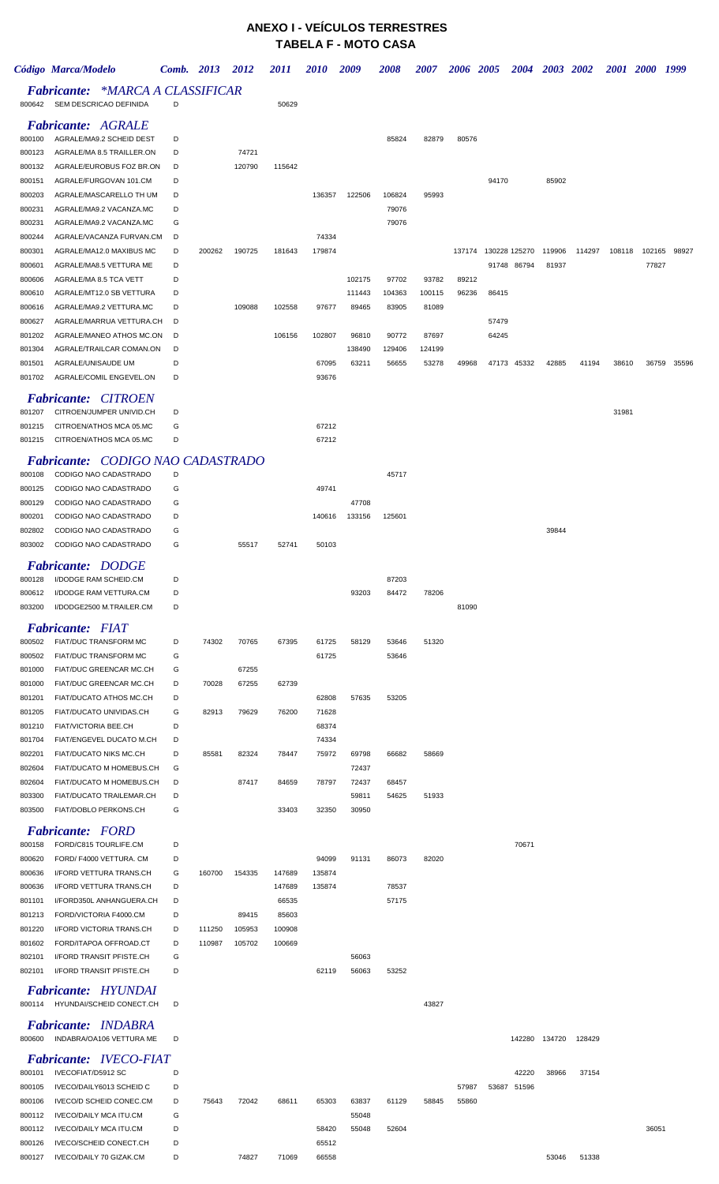## **ANEXO I - VEÍCULOS TERRESTRES TABELA F - MOTO CASA**

Código Marca/Modelo Comb. 2013 2012 2011 2010 2009 2008 2007 2006 2005 2004 2003 2002 2001 2000 1999 *Fabricante: \*MARCA A CLASSIFICAR* 800642 SEM DESCRICAO DEFINIDA D 50629

| 800100           | <b>Fabricante: AGRALE</b><br>AGRALE/MA9.2 SCHEID DEST         | D      |        |        |        |                 |        | 85824          | 82879  | 80576  |                |               |        |        |        |        |       |
|------------------|---------------------------------------------------------------|--------|--------|--------|--------|-----------------|--------|----------------|--------|--------|----------------|---------------|--------|--------|--------|--------|-------|
| 800123           | AGRALE/MA 8.5 TRAILLER.ON                                     | D      |        | 74721  |        |                 |        |                |        |        |                |               |        |        |        |        |       |
| 800132           | AGRALE/EUROBUS FOZ BR.ON                                      | D      |        | 120790 | 115642 |                 |        |                |        |        |                |               |        |        |        |        |       |
| 800151           | AGRALE/FURGOVAN 101.CM                                        | D      |        |        |        |                 |        |                |        |        | 94170          |               | 85902  |        |        |        |       |
| 800203           | AGRALE/MASCARELLO TH UM                                       | D      |        |        |        | 136357          | 122506 | 106824         | 95993  |        |                |               |        |        |        |        |       |
| 800231<br>800231 | AGRALE/MA9.2 VACANZA.MC<br>AGRALE/MA9.2 VACANZA.MC            | D<br>G |        |        |        |                 |        | 79076<br>79076 |        |        |                |               |        |        |        |        |       |
| 800244           | AGRALE/VACANZA FURVAN.CM                                      | D      |        |        |        | 74334           |        |                |        |        |                |               |        |        |        |        |       |
| 800301           | AGRALE/MA12.0 MAXIBUS MC                                      | D      | 200262 | 190725 | 181643 | 179874          |        |                |        | 137174 |                | 130228 125270 | 119906 | 114297 | 108118 | 102165 | 98927 |
| 800601           | AGRALE/MA8.5 VETTURA ME                                       | D      |        |        |        |                 |        |                |        |        |                | 91748 86794   | 81937  |        |        | 77827  |       |
| 800606           | AGRALE/MA 8.5 TCA VETT                                        | D      |        |        |        |                 | 102175 | 97702          | 93782  | 89212  |                |               |        |        |        |        |       |
| 800610           | AGRALE/MT12.0 SB VETTURA                                      | D      |        |        |        |                 | 111443 | 104363         | 100115 | 96236  | 86415          |               |        |        |        |        |       |
| 800616           | AGRALE/MA9.2 VETTURA.MC                                       | D<br>D |        | 109088 | 102558 | 97677           | 89465  | 83905          | 81089  |        |                |               |        |        |        |        |       |
| 800627<br>801202 | AGRALE/MARRUA VETTURA.CH<br>AGRALE/MANEO ATHOS MC.ON          | D      |        |        | 106156 | 102807          | 96810  | 90772          | 87697  |        | 57479<br>64245 |               |        |        |        |        |       |
| 801304           | AGRALE/TRAILCAR COMAN.ON                                      | D      |        |        |        |                 | 138490 | 129406         | 124199 |        |                |               |        |        |        |        |       |
| 801501           | AGRALE/UNISAUDE UM                                            | D      |        |        |        | 67095           | 63211  | 56655          | 53278  | 49968  |                | 47173 45332   | 42885  | 41194  | 38610  | 36759  | 35596 |
| 801702           | AGRALE/COMIL ENGEVEL.ON                                       | D      |        |        |        | 93676           |        |                |        |        |                |               |        |        |        |        |       |
|                  | <b>CITROEN</b><br><i><b>Fabricante:</b></i>                   |        |        |        |        |                 |        |                |        |        |                |               |        |        |        |        |       |
| 801207           | CITROEN/JUMPER UNIVID.CH                                      | D      |        |        |        |                 |        |                |        |        |                |               |        |        | 31981  |        |       |
| 801215<br>801215 | CITROEN/ATHOS MCA 05.MC<br>CITROEN/ATHOS MCA 05.MC            | G<br>D |        |        |        | 67212<br>67212  |        |                |        |        |                |               |        |        |        |        |       |
|                  |                                                               |        |        |        |        |                 |        |                |        |        |                |               |        |        |        |        |       |
| 800108           | Fabricante: CODIGO NAO CADASTRADO<br>CODIGO NAO CADASTRADO    | D      |        |        |        |                 |        | 45717          |        |        |                |               |        |        |        |        |       |
| 800125           | CODIGO NAO CADASTRADO                                         | G      |        |        |        | 49741           |        |                |        |        |                |               |        |        |        |        |       |
| 800129           | CODIGO NAO CADASTRADO                                         | G      |        |        |        |                 | 47708  |                |        |        |                |               |        |        |        |        |       |
| 800201           | CODIGO NAO CADASTRADO                                         | D      |        |        |        | 140616          | 133156 | 125601         |        |        |                |               |        |        |        |        |       |
| 802802           | CODIGO NAO CADASTRADO                                         | G      |        |        |        |                 |        |                |        |        |                |               | 39844  |        |        |        |       |
| 803002           | CODIGO NAO CADASTRADO                                         | G      |        | 55517  | 52741  | 50103           |        |                |        |        |                |               |        |        |        |        |       |
|                  | <b>Fabricante: DODGE</b>                                      |        |        |        |        |                 |        |                |        |        |                |               |        |        |        |        |       |
| 800128<br>800612 | I/DODGE RAM SCHEID.CM<br>I/DODGE RAM VETTURA.CM               | D<br>D |        |        |        |                 | 93203  | 87203<br>84472 | 78206  |        |                |               |        |        |        |        |       |
| 803200           | I/DODGE2500 M.TRAILER.CM                                      | D      |        |        |        |                 |        |                |        | 81090  |                |               |        |        |        |        |       |
|                  | <b>Fabricante: FIAT</b>                                       |        |        |        |        |                 |        |                |        |        |                |               |        |        |        |        |       |
| 800502           | FIAT/DUC TRANSFORM MC                                         | D      | 74302  | 70765  | 67395  | 61725           | 58129  | 53646          | 51320  |        |                |               |        |        |        |        |       |
| 800502           | FIAT/DUC TRANSFORM MC                                         | G      |        |        |        | 61725           |        | 53646          |        |        |                |               |        |        |        |        |       |
| 801000           | FIAT/DUC GREENCAR MC.CH                                       | G      |        | 67255  |        |                 |        |                |        |        |                |               |        |        |        |        |       |
| 801000           | FIAT/DUC GREENCAR MC.CH                                       | D      | 70028  | 67255  | 62739  |                 |        |                |        |        |                |               |        |        |        |        |       |
| 801201           | FIAT/DUCATO ATHOS MC.CH                                       | D      |        |        |        | 62808           | 57635  | 53205          |        |        |                |               |        |        |        |        |       |
| 801205           | FIAT/DUCATO UNIVIDAS.CH                                       | G      | 82913  | 79629  | 76200  | 71628           |        |                |        |        |                |               |        |        |        |        |       |
| 801210<br>801704 | FIAT/VICTORIA BEE.CH<br>FIAT/ENGEVEL DUCATO M.CH              | D<br>D |        |        |        | 68374<br>74334  |        |                |        |        |                |               |        |        |        |        |       |
| 802201           | FIAT/DUCATO NIKS MC.CH                                        | D      | 85581  | 82324  | 78447  | 75972           | 69798  | 66682          | 58669  |        |                |               |        |        |        |        |       |
| 802604           | FIAT/DUCATO M HOMEBUS.CH                                      | G      |        |        |        |                 | 72437  |                |        |        |                |               |        |        |        |        |       |
| 802604           | FIAT/DUCATO M HOMEBUS.CH                                      | D      |        | 87417  | 84659  | 78797           | 72437  | 68457          |        |        |                |               |        |        |        |        |       |
| 803300           | FIAT/DUCATO TRAILEMAR.CH                                      | D      |        |        |        |                 | 59811  | 54625          | 51933  |        |                |               |        |        |        |        |       |
| 803500           | FIAT/DOBLO PERKONS.CH                                         | G      |        |        | 33403  | 32350           | 30950  |                |        |        |                |               |        |        |        |        |       |
|                  | <b>Fabricante:</b> FORD                                       |        |        |        |        |                 |        |                |        |        |                |               |        |        |        |        |       |
| 800158           | FORD/C815 TOURLIFE.CM                                         | D      |        |        |        |                 |        |                |        |        |                | 70671         |        |        |        |        |       |
| 800620<br>800636 | FORD/F4000 VETTURA. CM<br>I/FORD VETTURA TRANS.CH             | D<br>G | 160700 | 154335 | 147689 | 94099<br>135874 | 91131  | 86073          | 82020  |        |                |               |        |        |        |        |       |
| 800636           | I/FORD VETTURA TRANS.CH                                       | D      |        |        | 147689 | 135874          |        | 78537          |        |        |                |               |        |        |        |        |       |
| 801101           | I/FORD350L ANHANGUERA.CH                                      | D      |        |        | 66535  |                 |        | 57175          |        |        |                |               |        |        |        |        |       |
| 801213           | FORD/VICTORIA F4000.CM                                        | D      |        | 89415  | 85603  |                 |        |                |        |        |                |               |        |        |        |        |       |
| 801220           | I/FORD VICTORIA TRANS.CH                                      | D      | 111250 | 105953 | 100908 |                 |        |                |        |        |                |               |        |        |        |        |       |
| 801602           | FORD/ITAPOA OFFROAD.CT                                        | D      | 110987 | 105702 | 100669 |                 |        |                |        |        |                |               |        |        |        |        |       |
| 802101           | I/FORD TRANSIT PFISTE.CH                                      | G      |        |        |        |                 | 56063  |                |        |        |                |               |        |        |        |        |       |
| 802101           | I/FORD TRANSIT PFISTE.CH                                      | D      |        |        |        | 62119           | 56063  | 53252          |        |        |                |               |        |        |        |        |       |
|                  | <b>Fabricante: HYUNDAI</b><br>800114 HYUNDAI/SCHEID CONECT.CH | D      |        |        |        |                 |        |                | 43827  |        |                |               |        |        |        |        |       |
|                  | Fabricante: INDABRA                                           |        |        |        |        |                 |        |                |        |        |                |               |        |        |        |        |       |
| 800600           | INDABRA/OA106 VETTURA ME                                      | D      |        |        |        |                 |        |                |        |        |                | 142280        | 134720 | 128429 |        |        |       |
| 800101           | <b>Fabricante: IVECO-FIAT</b><br>IVECOFIAT/D5912 SC           | D      |        |        |        |                 |        |                |        |        |                | 42220         | 38966  | 37154  |        |        |       |
| 800105           | IVECO/DAILY6013 SCHEID C                                      | D      |        |        |        |                 |        |                |        | 57987  | 53687          | 51596         |        |        |        |        |       |
| 800106           | IVECO/D SCHEID CONEC.CM                                       | D      | 75643  | 72042  | 68611  | 65303           | 63837  | 61129          | 58845  | 55860  |                |               |        |        |        |        |       |
| 800112           | <b>IVECO/DAILY MCA ITU.CM</b>                                 | G      |        |        |        |                 | 55048  |                |        |        |                |               |        |        |        |        |       |
| 800112           | <b>IVECO/DAILY MCA ITU.CM</b>                                 | D      |        |        |        | 58420           | 55048  | 52604          |        |        |                |               |        |        |        | 36051  |       |
| 800126           | IVECO/SCHEID CONECT.CH                                        | D      |        |        |        | 65512           |        |                |        |        |                |               |        |        |        |        |       |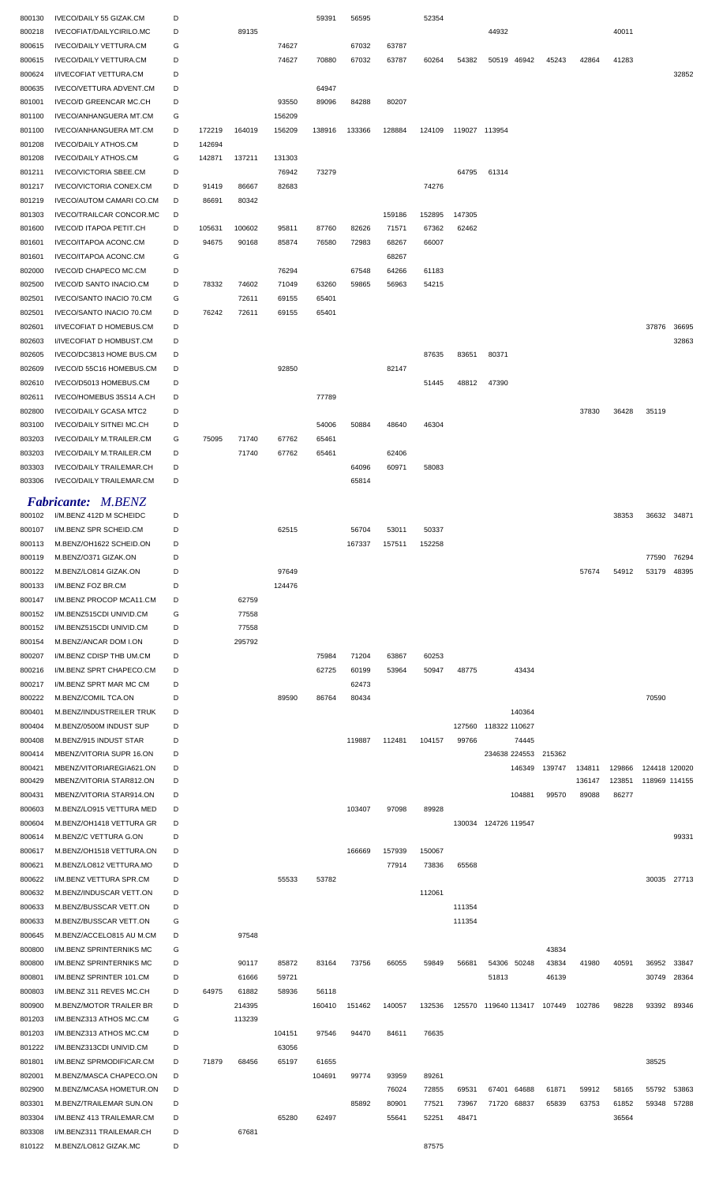| 800130 | <b>IVECO/DAILY 55 GIZAK.CM</b>  | D |        |        |        | 59391  | 56595  |        | 52354  |               |                      |        |        |        |               |             |
|--------|---------------------------------|---|--------|--------|--------|--------|--------|--------|--------|---------------|----------------------|--------|--------|--------|---------------|-------------|
| 800218 | IVECOFIAT/DAILYCIRILO.MC        | D |        | 89135  |        |        |        |        |        |               | 44932                |        |        | 40011  |               |             |
| 800615 | <b>IVECO/DAILY VETTURA.CM</b>   | G |        |        | 74627  |        | 67032  | 63787  |        |               |                      |        |        |        |               |             |
|        |                                 |   |        |        |        |        |        |        |        |               |                      |        |        |        |               |             |
| 800615 | IVECO/DAILY VETTURA.CM          | D |        |        | 74627  | 70880  | 67032  | 63787  | 60264  | 54382         | 50519<br>46942       | 45243  | 42864  | 41283  |               |             |
| 800624 | I/IVECOFIAT VETTURA.CM          | D |        |        |        |        |        |        |        |               |                      |        |        |        |               | 32852       |
| 800635 | IVECO/VETTURA ADVENT.CM         | D |        |        |        | 64947  |        |        |        |               |                      |        |        |        |               |             |
| 801001 | <b>IVECO/D GREENCAR MC.CH</b>   | D |        |        | 93550  | 89096  | 84288  | 80207  |        |               |                      |        |        |        |               |             |
|        |                                 |   |        |        |        |        |        |        |        |               |                      |        |        |        |               |             |
| 801100 | IVECO/ANHANGUERA MT.CM          | G |        |        | 156209 |        |        |        |        |               |                      |        |        |        |               |             |
| 801100 | IVECO/ANHANGUERA MT.CM          | D | 172219 | 164019 | 156209 | 138916 | 133366 | 128884 | 124109 | 119027 113954 |                      |        |        |        |               |             |
| 801208 | <b>IVECO/DAILY ATHOS.CM</b>     | D | 142694 |        |        |        |        |        |        |               |                      |        |        |        |               |             |
| 801208 | <b>IVECO/DAILY ATHOS.CM</b>     | G | 142871 | 137211 | 131303 |        |        |        |        |               |                      |        |        |        |               |             |
|        |                                 |   |        |        |        |        |        |        |        |               |                      |        |        |        |               |             |
| 801211 | <b>IVECO/VICTORIA SBEE.CM</b>   | D |        |        | 76942  | 73279  |        |        |        | 64795         | 61314                |        |        |        |               |             |
| 801217 | <b>IVECO/VICTORIA CONEX.CM</b>  | D | 91419  | 86667  | 82683  |        |        |        | 74276  |               |                      |        |        |        |               |             |
| 801219 | <b>IVECO/AUTOM CAMARI CO.CM</b> | D | 86691  | 80342  |        |        |        |        |        |               |                      |        |        |        |               |             |
| 801303 | IVECO/TRAILCAR CONCOR.MC        | D |        |        |        |        |        | 159186 | 152895 | 147305        |                      |        |        |        |               |             |
|        |                                 |   |        |        |        |        |        |        |        |               |                      |        |        |        |               |             |
| 801600 | IVECO/D ITAPOA PETIT.CH         | D | 105631 | 100602 | 95811  | 87760  | 82626  | 71571  | 67362  | 62462         |                      |        |        |        |               |             |
| 801601 | IVECO/ITAPOA ACONC.CM           | D | 94675  | 90168  | 85874  | 76580  | 72983  | 68267  | 66007  |               |                      |        |        |        |               |             |
| 801601 | IVECO/ITAPOA ACONC.CM           | G |        |        |        |        |        | 68267  |        |               |                      |        |        |        |               |             |
| 802000 | IVECO/D CHAPECO MC.CM           | D |        |        | 76294  |        | 67548  | 64266  | 61183  |               |                      |        |        |        |               |             |
|        |                                 |   |        |        |        |        |        |        |        |               |                      |        |        |        |               |             |
| 802500 | <b>IVECO/D SANTO INACIO.CM</b>  | D | 78332  | 74602  | 71049  | 63260  | 59865  | 56963  | 54215  |               |                      |        |        |        |               |             |
| 802501 | IVECO/SANTO INACIO 70.CM        | G |        | 72611  | 69155  | 65401  |        |        |        |               |                      |        |        |        |               |             |
| 802501 | IVECO/SANTO INACIO 70.CM        | D | 76242  | 72611  | 69155  | 65401  |        |        |        |               |                      |        |        |        |               |             |
| 802601 | <b>I/IVECOFIAT D HOMEBUS.CM</b> | D |        |        |        |        |        |        |        |               |                      |        |        |        | 37876         | 36695       |
|        |                                 |   |        |        |        |        |        |        |        |               |                      |        |        |        |               |             |
| 802603 | I/IVECOFIAT D HOMBUST.CM        | D |        |        |        |        |        |        |        |               |                      |        |        |        |               | 32863       |
| 802605 | IVECO/DC3813 HOME BUS.CM        | D |        |        |        |        |        |        | 87635  | 83651         | 80371                |        |        |        |               |             |
| 802609 | IVECO/D 55C16 HOMEBUS.CM        | D |        |        | 92850  |        |        | 82147  |        |               |                      |        |        |        |               |             |
| 802610 | IVECO/D5013 HOMEBUS.CM          | D |        |        |        |        |        |        | 51445  | 48812         | 47390                |        |        |        |               |             |
|        |                                 |   |        |        |        |        |        |        |        |               |                      |        |        |        |               |             |
| 802611 | IVECO/HOMEBUS 35S14 A.CH        | D |        |        |        | 77789  |        |        |        |               |                      |        |        |        |               |             |
| 802800 | <b>IVECO/DAILY GCASA MTC2</b>   | D |        |        |        |        |        |        |        |               |                      |        | 37830  | 36428  | 35119         |             |
| 803100 | <b>IVECO/DAILY SITNEI MC.CH</b> | D |        |        |        | 54006  | 50884  | 48640  | 46304  |               |                      |        |        |        |               |             |
|        |                                 |   |        |        |        |        |        |        |        |               |                      |        |        |        |               |             |
| 803203 | <b>IVECO/DAILY M.TRAILER.CM</b> | G | 75095  | 71740  | 67762  | 65461  |        |        |        |               |                      |        |        |        |               |             |
| 803203 | IVECO/DAILY M.TRAILER.CM        | D |        | 71740  | 67762  | 65461  |        | 62406  |        |               |                      |        |        |        |               |             |
| 803303 | IVECO/DAILY TRAILEMAR.CH        | D |        |        |        |        | 64096  | 60971  | 58083  |               |                      |        |        |        |               |             |
| 803306 | <b>IVECO/DAILY TRAILEMAR.CM</b> | D |        |        |        |        | 65814  |        |        |               |                      |        |        |        |               |             |
|        |                                 |   |        |        |        |        |        |        |        |               |                      |        |        |        |               |             |
|        | <b>Fabricante: M.BENZ</b>       |   |        |        |        |        |        |        |        |               |                      |        |        |        |               |             |
| 800102 | I/M.BENZ 412D M SCHEIDC         | D |        |        |        |        |        |        |        |               |                      |        |        | 38353  |               | 36632 34871 |
|        |                                 |   |        |        |        |        |        |        |        |               |                      |        |        |        |               |             |
| 800107 | I/M.BENZ SPR SCHEID.CM          | D |        |        | 62515  |        | 56704  | 53011  | 50337  |               |                      |        |        |        |               |             |
| 800113 | M.BENZ/OH1622 SCHEID.ON         | D |        |        |        |        | 167337 | 157511 | 152258 |               |                      |        |        |        |               |             |
| 800119 | M.BENZ/O371 GIZAK.ON            | D |        |        |        |        |        |        |        |               |                      |        |        |        | 77590         | 76294       |
| 800122 | M.BENZ/LO814 GIZAK.ON           | D |        |        | 97649  |        |        |        |        |               |                      |        | 57674  | 54912  | 53179         | 48395       |
|        |                                 |   |        |        |        |        |        |        |        |               |                      |        |        |        |               |             |
| 800133 | I/M.BENZ FOZ BR.CM              | D |        |        | 124476 |        |        |        |        |               |                      |        |        |        |               |             |
| 800147 | I/M.BENZ PROCOP MCA11.CM        | D |        | 62759  |        |        |        |        |        |               |                      |        |        |        |               |             |
| 800152 | I/M.BENZ515CDI UNIVID.CM        | G |        | 77558  |        |        |        |        |        |               |                      |        |        |        |               |             |
|        | I/M.BENZ515CDI UNIVID.CM        | D |        | 77558  |        |        |        |        |        |               |                      |        |        |        |               |             |
| 800152 |                                 |   |        |        |        |        |        |        |        |               |                      |        |        |        |               |             |
| 800154 | M.BENZ/ANCAR DOM I.ON           | D |        | 295792 |        |        |        |        |        |               |                      |        |        |        |               |             |
| 800207 | I/M.BENZ CDISP THB UM.CM        | D |        |        |        | 75984  | 71204  | 63867  | 60253  |               |                      |        |        |        |               |             |
| 800216 | I/M.BENZ SPRT CHAPECO.CM        | D |        |        |        | 62725  | 60199  | 53964  | 50947  | 48775         | 43434                |        |        |        |               |             |
| 800217 | I/M.BENZ SPRT MAR MC CM         | D |        |        |        |        | 62473  |        |        |               |                      |        |        |        |               |             |
|        |                                 |   |        |        |        |        |        |        |        |               |                      |        |        |        |               |             |
| 800222 | M.BENZ/COMIL TCA.ON             | D |        |        | 89590  | 86764  | 80434  |        |        |               |                      |        |        |        | 70590         |             |
| 800401 | M.BENZ/INDUSTREILER TRUK        | D |        |        |        |        |        |        |        |               | 140364               |        |        |        |               |             |
| 800404 | M.BENZ/0500M INDUST SUP         | D |        |        |        |        |        |        |        | 127560        | 118322 110627        |        |        |        |               |             |
| 800408 | M.BENZ/915 INDUST STAR          | D |        |        |        |        | 119887 | 112481 | 104157 | 99766         | 74445                |        |        |        |               |             |
|        |                                 |   |        |        |        |        |        |        |        |               |                      |        |        |        |               |             |
| 800414 | MBENZ/VITORIA SUPR 16.ON        | D |        |        |        |        |        |        |        |               | 234638 224553        | 215362 |        |        |               |             |
| 800421 | MBENZ/VITORIAREGIA621.ON        | D |        |        |        |        |        |        |        |               | 146349               | 139747 | 134811 | 129866 | 124418 120020 |             |
| 800429 | MBENZ/VITORIA STAR812.ON        | D |        |        |        |        |        |        |        |               |                      |        | 136147 | 123851 | 118969 114155 |             |
| 800431 | MBENZ/VITORIA STAR914.ON        | D |        |        |        |        |        |        |        |               | 104881               | 99570  | 89088  | 86277  |               |             |
|        |                                 |   |        |        |        |        |        |        |        |               |                      |        |        |        |               |             |
| 800603 | M.BENZ/LO915 VETTURA MED        | D |        |        |        |        | 103407 | 97098  | 89928  |               |                      |        |        |        |               |             |
| 800604 | M.BENZ/OH1418 VETTURA GR        | D |        |        |        |        |        |        |        |               | 130034 124726 119547 |        |        |        |               |             |
| 800614 | M.BENZ/C VETTURA G.ON           | D |        |        |        |        |        |        |        |               |                      |        |        |        |               | 99331       |
| 800617 | M.BENZ/OH1518 VETTURA.ON        | D |        |        |        |        | 166669 | 157939 | 150067 |               |                      |        |        |        |               |             |
|        |                                 |   |        |        |        |        |        |        |        |               |                      |        |        |        |               |             |
| 800621 | M.BENZ/LO812 VETTURA.MO         | D |        |        |        |        |        | 77914  | 73836  | 65568         |                      |        |        |        |               |             |
| 800622 | I/M.BENZ VETTURA SPR.CM         | D |        |        | 55533  | 53782  |        |        |        |               |                      |        |        |        |               | 30035 27713 |
| 800632 | M.BENZ/INDUSCAR VETT.ON         | D |        |        |        |        |        |        | 112061 |               |                      |        |        |        |               |             |
| 800633 | M.BENZ/BUSSCAR VETT.ON          | D |        |        |        |        |        |        |        | 111354        |                      |        |        |        |               |             |
|        |                                 |   |        |        |        |        |        |        |        |               |                      |        |        |        |               |             |
| 800633 | M.BENZ/BUSSCAR VETT.ON          | G |        |        |        |        |        |        |        | 111354        |                      |        |        |        |               |             |
| 800645 | M.BENZ/ACCELO815 AU M.CM        | D |        | 97548  |        |        |        |        |        |               |                      |        |        |        |               |             |
| 800800 | I/M.BENZ SPRINTERNIKS MC        | G |        |        |        |        |        |        |        |               |                      | 43834  |        |        |               |             |
|        |                                 | D |        |        | 85872  | 83164  |        | 66055  |        | 56681         |                      |        | 41980  | 40591  | 36952         | 33847       |
| 800800 | I/M.BENZ SPRINTERNIKS MC        |   |        | 90117  |        |        | 73756  |        | 59849  |               | 54306 50248          | 43834  |        |        |               |             |
| 800801 | I/M.BENZ SPRINTER 101.CM        | D |        | 61666  | 59721  |        |        |        |        |               | 51813                | 46139  |        |        | 30749         | 28364       |
| 800803 | I/M.BENZ 311 REVES MC.CH        | D | 64975  | 61882  | 58936  | 56118  |        |        |        |               |                      |        |        |        |               |             |
| 800900 | M.BENZ/MOTOR TRAILER BR         | D |        | 214395 |        | 160410 | 151462 | 140057 | 132536 | 125570        | 119640 113417        | 107449 | 102786 | 98228  | 93392         | 89346       |
|        |                                 |   |        |        |        |        |        |        |        |               |                      |        |        |        |               |             |
| 801203 | I/M.BENZ313 ATHOS MC.CM         | G |        | 113239 |        |        |        |        |        |               |                      |        |        |        |               |             |
| 801203 | I/M.BENZ313 ATHOS MC.CM         | D |        |        | 104151 | 97546  | 94470  | 84611  | 76635  |               |                      |        |        |        |               |             |
| 801222 | I/M.BENZ313CDI UNIVID.CM        | D |        |        | 63056  |        |        |        |        |               |                      |        |        |        |               |             |
| 801801 | I/M.BENZ SPRMODIFICAR.CM        | D | 71879  | 68456  | 65197  | 61655  |        |        |        |               |                      |        |        |        | 38525         |             |
|        |                                 |   |        |        |        |        |        |        |        |               |                      |        |        |        |               |             |
| 802001 | M.BENZ/MASCA CHAPECO.ON         | D |        |        |        | 104691 | 99774  | 93959  | 89261  |               |                      |        |        |        |               |             |
| 802900 | M.BENZ/MCASA HOMETUR.ON         | D |        |        |        |        |        | 76024  | 72855  | 69531         | 67401 64688          | 61871  | 59912  | 58165  | 55792         | 53863       |
| 803301 |                                 |   |        |        |        |        | 85892  |        |        | 73967         |                      | 65839  |        |        |               |             |
|        | M.BENZ/TRAILEMAR SUN.ON         | D |        |        |        |        |        | 80901  |        |               | 71720 68837          |        | 63753  | 61852  | 59348 57288   |             |
|        |                                 |   |        |        |        |        |        |        | 77521  |               |                      |        |        |        |               |             |
| 803304 | I/M.BENZ 413 TRAILEMAR.CM       | D |        |        | 65280  | 62497  |        | 55641  | 52251  | 48471         |                      |        |        | 36564  |               |             |
| 803308 | I/M.BENZ311 TRAILEMAR.CH        | D |        | 67681  |        |        |        |        |        |               |                      |        |        |        |               |             |
| 810122 | M.BENZ/LO812 GIZAK.MC           | D |        |        |        |        |        |        | 87575  |               |                      |        |        |        |               |             |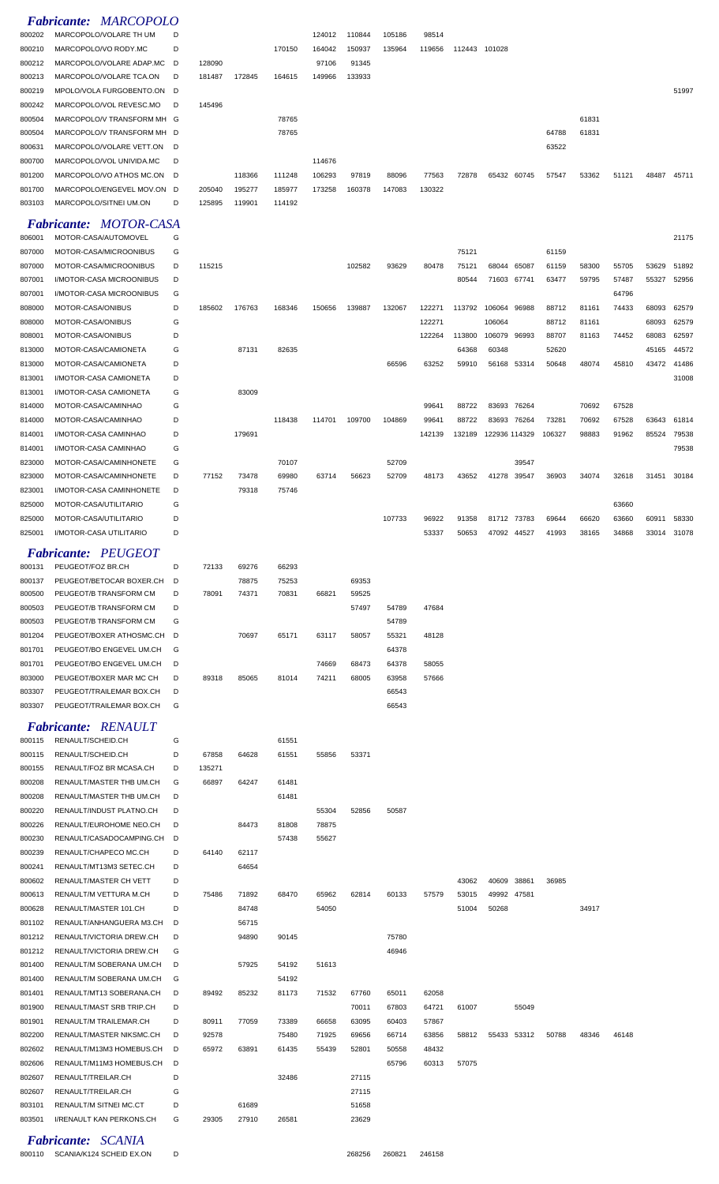|                  | Fabricante: MARCOPOLO                                 |          |                 |                |                |        |                |                |        |                |                      |             |                |                |                |                |                |
|------------------|-------------------------------------------------------|----------|-----------------|----------------|----------------|--------|----------------|----------------|--------|----------------|----------------------|-------------|----------------|----------------|----------------|----------------|----------------|
| 800202           | MARCOPOLO/VOLARE TH UM                                | D        |                 |                |                | 124012 | 110844         | 105186         | 98514  |                |                      |             |                |                |                |                |                |
| 800210           | MARCOPOLO/VO RODY.MC                                  | D        |                 |                | 170150         | 164042 | 150937         | 135964         | 119656 | 112443 101028  |                      |             |                |                |                |                |                |
| 800212           | MARCOPOLO/VOLARE ADAP.MC                              | D        | 128090          |                |                | 97106  | 91345          |                |        |                |                      |             |                |                |                |                |                |
| 800213           | MARCOPOLO/VOLARE TCA.ON                               | D        | 181487          | 172845         | 164615         | 149966 | 133933         |                |        |                |                      |             |                |                |                |                |                |
| 800219           | MPOLO/VOLA FURGOBENTO.ON                              | D<br>D   |                 |                |                |        |                |                |        |                |                      |             |                |                |                |                | 51997          |
| 800242<br>800504 | MARCOPOLO/VOL REVESC.MO<br>MARCOPOLO/V TRANSFORM MH G |          | 145496          |                | 78765          |        |                |                |        |                |                      |             |                | 61831          |                |                |                |
| 800504           | MARCOPOLO/V TRANSFORM MH D                            |          |                 |                | 78765          |        |                |                |        |                |                      |             | 64788          | 61831          |                |                |                |
| 800631           | MARCOPOLO/VOLARE VETT.ON                              | D        |                 |                |                |        |                |                |        |                |                      |             | 63522          |                |                |                |                |
| 800700           | MARCOPOLO/VOL UNIVIDA.MC                              | D        |                 |                |                | 114676 |                |                |        |                |                      |             |                |                |                |                |                |
| 801200           | MARCOPOLO/VO ATHOS MC.ON                              | D        |                 | 118366         | 111248         | 106293 | 97819          | 88096          | 77563  | 72878          |                      | 65432 60745 | 57547          | 53362          | 51121          | 48487          | 45711          |
| 801700           | MARCOPOLO/ENGEVEL MOV.ON                              | D        | 205040          | 195277         | 185977         | 173258 | 160378         | 147083         | 130322 |                |                      |             |                |                |                |                |                |
| 803103           | MARCOPOLO/SITNEI UM.ON                                | D        | 125895          | 119901         | 114192         |        |                |                |        |                |                      |             |                |                |                |                |                |
|                  | Fabricante: MOTOR-CASA                                |          |                 |                |                |        |                |                |        |                |                      |             |                |                |                |                |                |
| 806001           | MOTOR-CASA/AUTOMOVEL                                  | G        |                 |                |                |        |                |                |        |                |                      |             |                |                |                |                | 21175          |
| 807000           | MOTOR-CASA/MICROONIBUS<br>MOTOR-CASA/MICROONIBUS      | G<br>D   |                 |                |                |        |                |                |        | 75121          |                      |             | 61159<br>61159 |                |                |                | 51892          |
| 807000<br>807001 | I/MOTOR-CASA MICROONIBUS                              | D        | 115215          |                |                |        | 102582         | 93629          | 80478  | 75121<br>80544 | 71603 67741          | 68044 65087 | 63477          | 58300<br>59795 | 55705<br>57487 | 53629<br>55327 | 52956          |
| 807001           | I/MOTOR-CASA MICROONIBUS                              | G        |                 |                |                |        |                |                |        |                |                      |             |                |                | 64796          |                |                |
| 808000           | MOTOR-CASA/ONIBUS                                     | D        | 185602          | 176763         | 168346         | 150656 | 139887         | 132067         | 122271 | 113792         | 106064 96988         |             | 88712          | 81161          | 74433          | 68093          | 62579          |
| 808000           | MOTOR-CASA/ONIBUS                                     | G        |                 |                |                |        |                |                | 122271 |                | 106064               |             | 88712          | 81161          |                | 68093          | 62579          |
| 808001           | MOTOR-CASA/ONIBUS                                     | D        |                 |                |                |        |                |                | 122264 | 113800         | 106079 96993         |             | 88707          | 81163          | 74452          | 68083          | 62597          |
| 813000           | MOTOR-CASA/CAMIONETA                                  | G        |                 | 87131          | 82635          |        |                |                |        | 64368          | 60348                |             | 52620          |                |                | 45165          | 44572          |
| 813000<br>813001 | MOTOR-CASA/CAMIONETA<br>I/MOTOR-CASA CAMIONETA        | D<br>D   |                 |                |                |        |                | 66596          | 63252  | 59910          |                      | 56168 53314 | 50648          | 48074          | 45810          | 43472          | 41486<br>31008 |
| 813001           | I/MOTOR-CASA CAMIONETA                                | G        |                 | 83009          |                |        |                |                |        |                |                      |             |                |                |                |                |                |
| 814000           | MOTOR-CASA/CAMINHAO                                   | G        |                 |                |                |        |                |                | 99641  | 88722          |                      | 83693 76264 |                | 70692          | 67528          |                |                |
| 814000           | MOTOR-CASA/CAMINHAO                                   | D        |                 |                | 118438         | 114701 | 109700         | 104869         | 99641  | 88722          |                      | 83693 76264 | 73281          | 70692          | 67528          | 63643          | 61814          |
| 814001           | I/MOTOR-CASA CAMINHAO                                 | D        |                 | 179691         |                |        |                |                | 142139 | 132189         | 122936 114329        |             | 106327         | 98883          | 91962          | 85524          | 79538          |
| 814001           | I/MOTOR-CASA CAMINHAO                                 | G        |                 |                |                |        |                |                |        |                |                      |             |                |                |                |                | 79538          |
| 823000           | MOTOR-CASA/CAMINHONETE                                | G        |                 |                | 70107          |        |                | 52709          |        |                |                      | 39547       |                |                |                |                |                |
| 823000<br>823001 | MOTOR-CASA/CAMINHONETE<br>I/MOTOR-CASA CAMINHONETE    | D<br>D   | 77152           | 73478<br>79318 | 69980<br>75746 | 63714  | 56623          | 52709          | 48173  | 43652          | 41278                | 39547       | 36903          | 34074          | 32618          | 31451          | 30184          |
| 825000           | MOTOR-CASA/UTILITARIO                                 | G        |                 |                |                |        |                |                |        |                |                      |             |                |                | 63660          |                |                |
| 825000           | MOTOR-CASA/UTILITARIO                                 | D        |                 |                |                |        |                | 107733         | 96922  | 91358          |                      | 81712 73783 | 69644          | 66620          | 63660          | 60911          | 58330          |
| 825001           | I/MOTOR-CASA UTILITARIO                               | D        |                 |                |                |        |                |                | 53337  | 50653          |                      | 47092 44527 | 41993          | 38165          | 34868          |                | 33014 31078    |
|                  | <b>Fabricante: PEUGEOT</b>                            |          |                 |                |                |        |                |                |        |                |                      |             |                |                |                |                |                |
| 800131           | PEUGEOT/FOZ BR.CH                                     | D        | 72133           | 69276          | 66293          |        |                |                |        |                |                      |             |                |                |                |                |                |
| 800137           | PEUGEOT/BETOCAR BOXER.CH                              | D        |                 | 78875          | 75253          |        | 69353          |                |        |                |                      |             |                |                |                |                |                |
| 800500           | PEUGEOT/B TRANSFORM CM                                | D        | 78091           | 74371          | 70831          | 66821  | 59525          |                |        |                |                      |             |                |                |                |                |                |
| 800503           | PEUGEOT/B TRANSFORM CM                                | D        |                 |                |                |        | 57497          | 54789          | 47684  |                |                      |             |                |                |                |                |                |
| 800503<br>801204 | PEUGEOT/B TRANSFORM CM<br>PEUGEOT/BOXER ATHOSMC.CH    | G<br>- D |                 | 70697          | 65171          | 63117  | 58057          | 54789<br>55321 | 48128  |                |                      |             |                |                |                |                |                |
| 801701           | PEUGEOT/BO ENGEVEL UM.CH                              | G        |                 |                |                |        |                | 64378          |        |                |                      |             |                |                |                |                |                |
| 801701           | PEUGEOT/BO ENGEVEL UM.CH                              | D        |                 |                |                | 74669  | 68473          | 64378          | 58055  |                |                      |             |                |                |                |                |                |
| 803000           | PEUGEOT/BOXER MAR MC CH                               | D        | 89318           | 85065          | 81014          | 74211  | 68005          | 63958          | 57666  |                |                      |             |                |                |                |                |                |
| 803307           | PEUGEOT/TRAILEMAR BOX.CH                              | D        |                 |                |                |        |                | 66543          |        |                |                      |             |                |                |                |                |                |
| 803307           | PEUGEOT/TRAILEMAR BOX.CH                              | G        |                 |                |                |        |                | 66543          |        |                |                      |             |                |                |                |                |                |
|                  | <b>Fabricante: RENAULT</b>                            |          |                 |                |                |        |                |                |        |                |                      |             |                |                |                |                |                |
| 800115           | RENAULT/SCHEID.CH                                     | G        |                 |                | 61551          |        |                |                |        |                |                      |             |                |                |                |                |                |
| 800115           | RENAULT/SCHEID.CH                                     | D        | 67858           | 64628          | 61551          | 55856  | 53371          |                |        |                |                      |             |                |                |                |                |                |
| 800155<br>800208 | RENAULT/FOZ BR MCASA.CH<br>RENAULT/MASTER THB UM.CH   | D<br>G   | 135271<br>66897 | 64247          | 61481          |        |                |                |        |                |                      |             |                |                |                |                |                |
| 800208           | RENAULT/MASTER THB UM.CH                              | D        |                 |                | 61481          |        |                |                |        |                |                      |             |                |                |                |                |                |
| 800220           | RENAULT/INDUST PLATNO.CH                              | D        |                 |                |                | 55304  | 52856          | 50587          |        |                |                      |             |                |                |                |                |                |
| 800226           | RENAULT/EUROHOME NEO.CH                               | D        |                 | 84473          | 81808          | 78875  |                |                |        |                |                      |             |                |                |                |                |                |
| 800230           | RENAULT/CASADOCAMPING.CH                              | D        |                 |                | 57438          | 55627  |                |                |        |                |                      |             |                |                |                |                |                |
| 800239           | RENAULT/CHAPECO MC.CH                                 | D        | 64140           | 62117          |                |        |                |                |        |                |                      |             |                |                |                |                |                |
| 800241           | RENAULT/MT13M3 SETEC.CH                               | D        |                 | 64654          |                |        |                |                |        |                |                      |             |                |                |                |                |                |
| 800602<br>800613 | RENAULT/MASTER CH VETT<br>RENAULT/M VETTURA M.CH      | D<br>D   | 75486           | 71892          | 68470          | 65962  | 62814          | 60133          | 57579  | 43062<br>53015 | 40609<br>49992 47581 | 38861       | 36985          |                |                |                |                |
| 800628           | RENAULT/MASTER 101.CH                                 | D        |                 | 84748          |                | 54050  |                |                |        | 51004          | 50268                |             |                | 34917          |                |                |                |
| 801102           | RENAULT/ANHANGUERA M3.CH                              | D        |                 | 56715          |                |        |                |                |        |                |                      |             |                |                |                |                |                |
| 801212           | RENAULT/VICTORIA DREW.CH                              | D        |                 | 94890          | 90145          |        |                | 75780          |        |                |                      |             |                |                |                |                |                |
| 801212           | RENAULT/VICTORIA DREW.CH                              | G        |                 |                |                |        |                | 46946          |        |                |                      |             |                |                |                |                |                |
| 801400           | RENAULT/M SOBERANA UM.CH                              | D        |                 | 57925          | 54192          | 51613  |                |                |        |                |                      |             |                |                |                |                |                |
| 801400<br>801401 | RENAULT/M SOBERANA UM.CH<br>RENAULT/MT13 SOBERANA.CH  | G<br>D   | 89492           | 85232          | 54192<br>81173 | 71532  | 67760          | 65011          | 62058  |                |                      |             |                |                |                |                |                |
| 801900           | RENAULT/MAST SRB TRIP.CH                              | D        |                 |                |                |        | 70011          | 67803          | 64721  | 61007          |                      | 55049       |                |                |                |                |                |
| 801901           | RENAULT/M TRAILEMAR.CH                                | D        | 80911           | 77059          | 73389          | 66658  | 63095          | 60403          | 57867  |                |                      |             |                |                |                |                |                |
| 802200           | RENAULT/MASTER NIKSMC.CH                              | D        | 92578           |                | 75480          | 71925  | 69656          | 66714          | 63856  | 58812          |                      | 55433 53312 | 50788          | 48346          | 46148          |                |                |
| 802602           | RENAULT/M13M3 HOMEBUS.CH                              | D        | 65972           | 63891          | 61435          | 55439  | 52801          | 50558          | 48432  |                |                      |             |                |                |                |                |                |
| 802606           | RENAULT/M11M3 HOMEBUS.CH                              | D        |                 |                |                |        |                | 65796          | 60313  | 57075          |                      |             |                |                |                |                |                |
| 802607<br>802607 | RENAULT/TREILAR.CH<br>RENAULT/TREILAR.CH              | D<br>G   |                 |                | 32486          |        | 27115<br>27115 |                |        |                |                      |             |                |                |                |                |                |
| 803101           | RENAULT/M SITNEI MC.CT                                | D        |                 | 61689          |                |        | 51658          |                |        |                |                      |             |                |                |                |                |                |
|                  |                                                       | G        | 29305           | 27910          | 26581          |        | 23629          |                |        |                |                      |             |                |                |                |                |                |

*Fabricante: SCANIA*

SCANIA/K124 SCHEID EX.ON D 268256 260821 246158